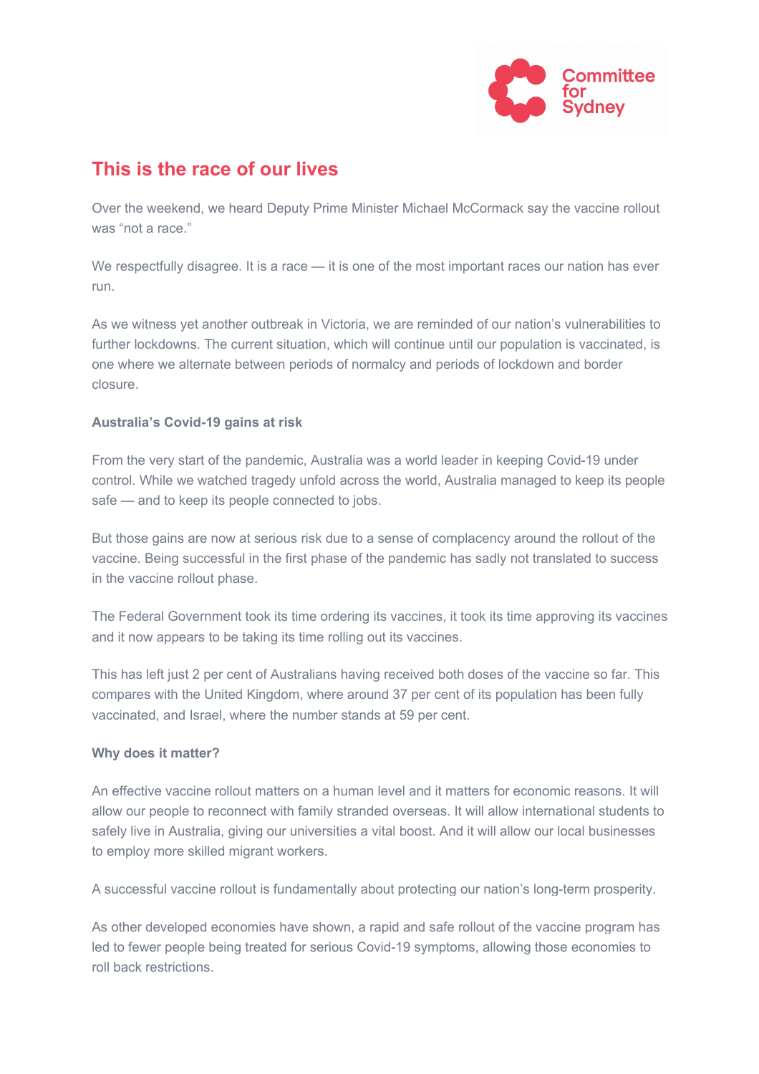

## **This is the race of our lives**

Over the weekend, we heard Deputy Prime Minister Michael McCormack say the vaccine rollout was "not a race."

We respectfully disagree. It is a race — it is one of the most important races our nation has ever run.

As we witness yet another outbreak in Victoria, we are reminded of our nation's vulnerabilities to further lockdowns. The current situation, which will continue until our population is vaccinated, is one where we alternate between periods of normalcy and periods of lockdown and border closure.

## **Australia's Covid-19 gains at risk**

From the very start of the pandemic, Australia was a world leader in keeping Covid-19 under control. While we watched tragedy unfold across the world, Australia managed to keep its people safe — and to keep its people connected to jobs.

But those gains are now at serious risk due to a sense of complacency around the rollout of the vaccine. Being successful in the first phase of the pandemic has sadly not translated to success in the vaccine rollout phase.

The Federal Government took its time ordering its vaccines, it took its time approving its vaccines and it now appears to be taking its time rolling out its vaccines.

This has left just 2 per cent of Australians having received both doses of the vaccine so far. This compares with the United Kingdom, where around 37 per cent of its population has been fully vaccinated, and Israel, where the number stands at 59 per cent.

## **Why does it matter?**

An effective vaccine rollout matters on a human level and it matters for economic reasons. It will allow our people to reconnect with family stranded overseas. It will allow international students to safely live in Australia, giving our universities a vital boost. And it will allow our local businesses to employ more skilled migrant workers.

A successful vaccine rollout is fundamentally about protecting our nation's long-term prosperity.

As other developed economies have shown, a rapid and safe rollout of the vaccine program has led to fewer people being treated for serious Covid-19 symptoms, allowing those economies to roll back restrictions.